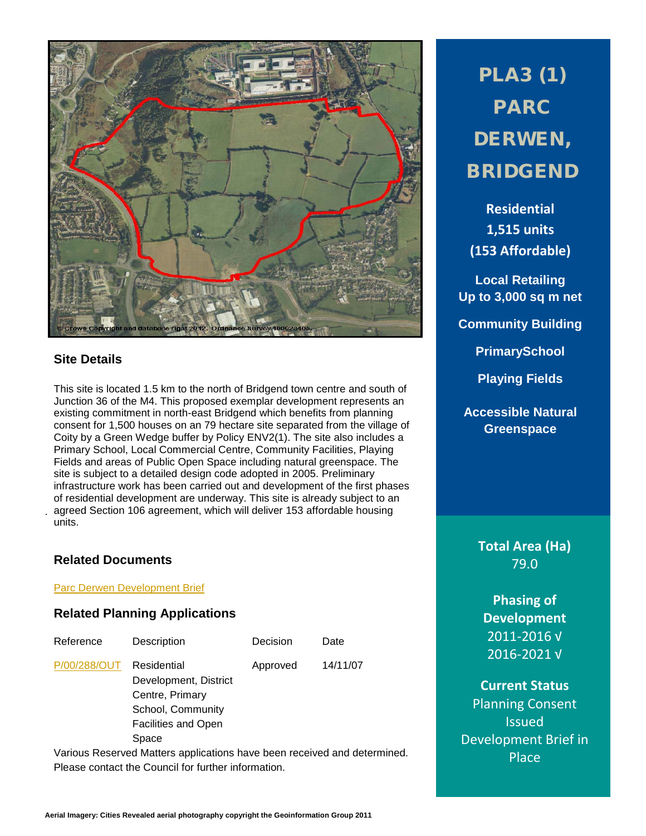

# **Site Details**

.

This site is located 1.5 km to the north of Bridgend town centre and south of Junction 36 of the M4. This proposed exemplar development represents an existing commitment in north-east Bridgend which benefits from planning consent for 1,500 houses on an 79 hectare site separated from the village of Coity by a Green Wedge buffer by Policy ENV2(1). The site also includes a Primary School, Local Commercial Centre, Community Facilities, Playing Fields and areas of Public Open Space including natural greenspace. The site is subject to a detailed design code adopted in 2005. Preliminary infrastructure work has been carried out and development of the first phases of residential development are underway. This site is already subject to an agreed Section 106 agreement, which will deliver 153 affordable housing units.

# **Related Documents**

Parc Derwen [Development Brief](http://www1.bridgend.gov.uk/services/planning/supplementary-planning-guidance-(spg)/parc-derwen,-bridgend.aspx)

# **Related Planning Applications**

| Reference    | Description                                                                                                         | Decision | Date     |
|--------------|---------------------------------------------------------------------------------------------------------------------|----------|----------|
| P/00/288/OUT | Residential<br>Development, District<br>Centre, Primary<br>School, Community<br><b>Facilities and Open</b><br>Space | Approved | 14/11/07 |

Various Reserved Matters applications have been received and determined. Please contact the Council for further information.

PLA3 (1) PARC DERWEN, BRIDGEND

**Residential 1,515 units (153 Affordable)**

**Local Retailing Up to 3,000 sq m net**

**Community Building**

**PrimarySchool**

**Playing Fields**

**Accessible Natural Greenspace**

> **Total Area (Ha)** 79.0

**Phasing of Development** 2011-2016 √ 2016-2021 √

**Current Status** Planning Consent Issued Development Brief in Place